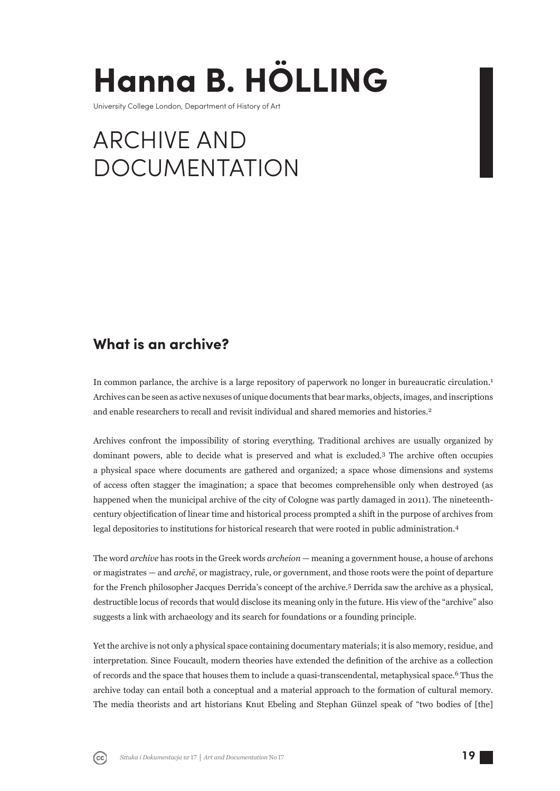# **Hanna B. HÖLLING**

University College London, Department of History of Art

# ARCHIVE AND DOCUMENTATION

# **What is an archive?**

In common parlance, the archive is a large repository of paperwork no longer in bureaucratic circulation.<sup>1</sup> Archives can be seen as active nexuses of unique documents that bear marks, objects, images, and inscriptions and enable researchers to recall and revisit individual and shared memories and histories.<sup>2</sup>

Archives confront the impossibility of storing everything. Traditional archives are usually organized by dominant powers, able to decide what is preserved and what is excluded.3 The archive often occupies a physical space where documents are gathered and organized; a space whose dimensions and systems of access often stagger the imagination; a space that becomes comprehensible only when destroyed (as happened when the municipal archive of the city of Cologne was partly damaged in 2011). The nine teenthcentury objectification of linear time and historical process prompted a shift in the purpose of archives from legal depositories to institutions for historical research that were rooted in public administration.<sup>4</sup>

The word *archive* has roots in the Greek words *archeion* — meaning a government house, a house of archons or magistrates — and *archē,* or magistracy, rule, or government, and those roots were the point of departure for the French philosopher Jacques Derrida's concept of the archive.5 Derrida saw the archive as a physical, destructible locus of records that would disclose its meaning only in the future. His view of the "archive" also suggests a link with archaeology and its search for foundations or a founding principle.

Yet the archive is not only a physical space containing documentary materials; it is also memory, residue, and interpretation. Since Foucault, modern theories have extended the definition of the archive as a collection of records and the space that houses them to include a quasi-transcendental, metaphysical space.<sup>6</sup> Thus the archive today can entail both a conceptual and a material approach to the formation of cultural memory. The media theorists and art historians Knut Ebeling and Stephan Günzel speak of "two bodies of [the]

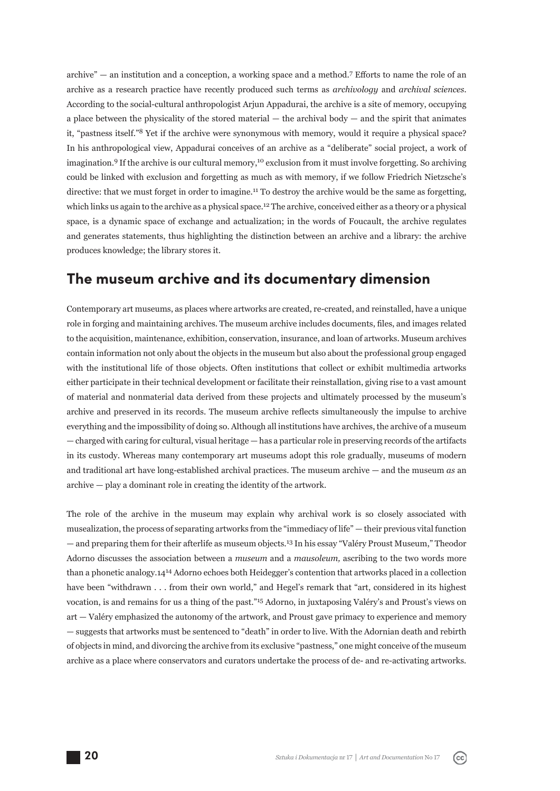archive" — an institution and a conception, a working space and a method.<sup>7</sup> Efforts to name the role of an archive as a research practice have recently produced such terms as *archivology* and *archival sciences.*  According to the social-cultural anthropologist Arjun Appadurai, the archive is a site of memory, occupying a place between the physicality of the stored material  $-$  the archival body  $-$  and the spirit that animates it, "pastness itself."8 Yet if the archive were synonymous with memory, would it require a physical space? In his anthropological view, Appadurai conceives of an archive as a "deliberate" social project, a work of imagination.9 If the archive is our cultural memory,10 exclusion from it must involve forgetting. So archiving could be linked with exclusion and forgetting as much as with memory, if we follow Friedrich Nietzsche's directive: that we must forget in order to imagine.11 To destroy the archive would be the same as forgetting, which links us again to the archive as a physical space.<sup>12</sup> The archive, conceived either as a theory or a physical space, is a dynamic space of exchange and actualization; in the words of Foucault, the archive regulates and generates statements, thus highlighting the distinction between an archive and a library: the archive produces knowledge; the library stores it.

#### **The museum archive and its documentary dimension**

Contemporary art museums, as places where artworks are created, re-created, and reinstalled, have a unique role in forging and maintaining archives. The museum archive includes documents, files, and images related to the acquisition, maintenance, exhibition, conservation, insurance, and loan of artworks. Museum archives contain information not only about the objects in the museum but also about the professional group engaged with the institutional life of those objects. Often institutions that collect or exhibit multimedia artworks either participate in their technical development or facilitate their reinstallation, giving rise to a vast amount of material and nonmaterial data derived from these projects and ultimately processed by the museum's archive and preserved in its records. The museum archive reflects simultaneously the impulse to archive everything and the impossibility of doing so. Although all institutions have archives, the archive of a museum — charged with caring for cultural, visual heritage — has a particular role in preserving records of the artifacts in its custody. Whereas many contemporary art museums adopt this role gradually, museums of modern and traditional art have long-established archival practices. The museum archive — and the museum *as* an archive — play a dominant role in creating the identity of the artwork.

The role of the archive in the museum may explain why archival work is so closely associated with musealization, the process of separating artworks from the "immediacy of life" — their previous vital function — and preparing them for their afterlife as museum objects.13 In his essay "Valéry Proust Museum," Theodor Adorno discusses the association between a *museum* and a *mausoleum,* ascribing to the two words more than a phonetic analogy.14<sup>14</sup> Adorno echoes both Heidegger's contention that artworks placed in a collection have been "withdrawn . . . from their own world," and Hegel's remark that "art, considered in its highest vocation, is and remains for us a thing of the past."15 Adorno, in juxtaposing Valéry's and Proust's views on art — Valéry emphasized the autonomy of the artwork, and Proust gave primacy to experience and memory — suggests that artworks must be sentenced to "death" in order to live. With the Adornian death and rebirth of objects in mind, and divorcing the archive from its exclusive "pastness," one might conceive of the museum archive as a place where conservators and curators undertake the process of de- and re-activating artworks.

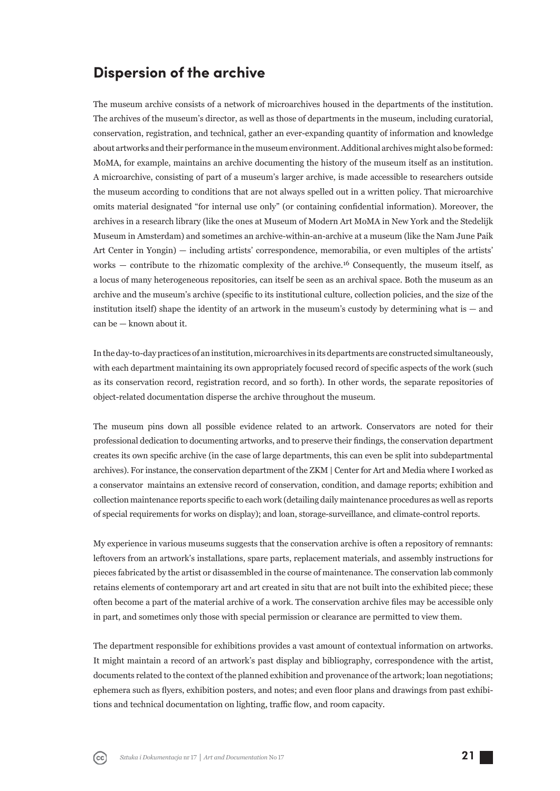#### **Dispersion of the archive**

The museum archive consists of a network of microarchives housed in the departments of the institution. The archives of the museum's director, as well as those of departments in the museum, including curatorial, conservation, registration, and technical, gather an ever-expanding quantity of information and knowledge about artworks and their performance in the museum environment. Additional archives might also be formed: MoMA, for example, maintains an archive documenting the history of the museum itself as an institution. A microarchive, consisting of part of a museum's larger archive, is made accessible to researchers outside the museum according to conditions that are not always spelled out in a written policy. That microarchive omits material designated "for internal use only" (or containing confidential information). Moreover, the archives in a research library (like the ones at Museum of Modern Art MoMA in New York and the Stedelijk Museum in Amsterdam) and sometimes an archive-within-an-archive at a museum (like the Nam June Paik Art Center in Yongin) — including artists' correspondence, memorabilia, or even multiples of the artists' works — contribute to the rhizomatic complexity of the archive.<sup>16</sup> Consequently, the museum itself, as a locus of many heterogeneous repositories, can itself be seen as an archival space. Both the museum as an archive and the museum's archive (specific to its institutional culture, collection policies, and the size of the institution itself) shape the identity of an artwork in the museum's custody by determining what is — and can be — known about it.

In the day-to-day practices of an institution, microarchives in its departments are constructed simultaneously, with each department maintaining its own appropriately focused record of specific aspects of the work (such as its conservation record, registration record, and so forth). In other words, the separate repositories of object-related documentation disperse the archive throughout the museum.

The museum pins down all possible evidence related to an artwork. Conservators are noted for their professional dedication to documenting artworks, and to preserve their findings, the conservation department creates its own specific archive (in the case of large departments, this can even be split into subdepartmental archives). For instance, the conservation department of the ZKM | Center for Art and Media where I worked as a conservator maintains an extensive record of conservation, condition, and damage reports; exhibition and collection maintenance reports specific to each work (detailing daily maintenance procedures as well as reports of special requirements for works on display); and loan, storage-surveillance, and climate-control reports.

My experience in various museums suggests that the conservation archive is often a repository of remnants: leftovers from an artwork's installations, spare parts, replacement materials, and assembly instructions for pieces fabricated by the artist or disas sembled in the course of maintenance. The conservation lab commonly retains elements of contemporary art and art created in situ that are not built into the exhibited piece; these often become a part of the material archive of a work. The conservation archive files may be accessible only in part, and sometimes only those with special permission or clearance are permitted to view them.

The department responsible for exhibitions provides a vast amount of contextual information on artworks. It might maintain a record of an artwork's past display and bibliography, correspondence with the artist, documents related to the context of the planned exhibition and provenance of the artwork; loan negotiations; ephemera such as flyers, exhibition posters, and notes; and even floor plans and drawings from past exhibitions and technical documentation on lighting, traffic flow, and room capacity.

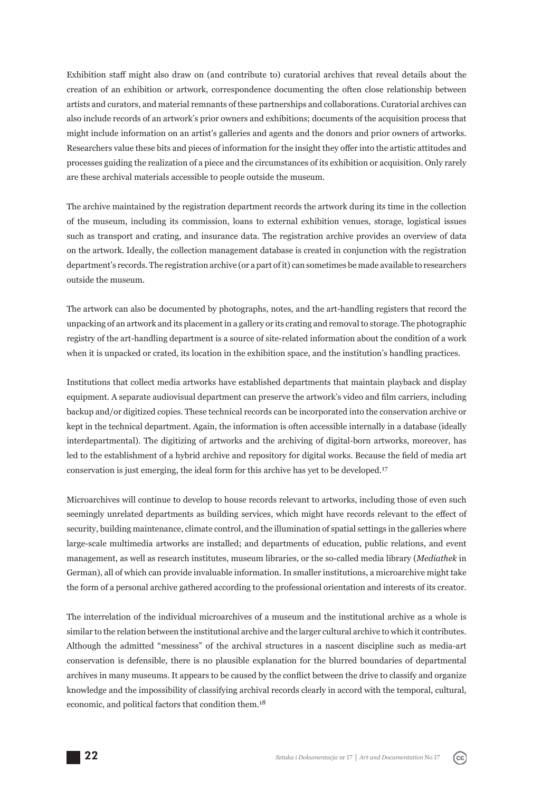Exhibition staff might also draw on (and contribute to) curatorial archives that reveal details about the creation of an exhibition or artwork, correspondence documenting the often close relationship between artists and curators, and material remnants of these partnerships and collaborations. Curatorial archives can also include records of an art work's prior owners and exhibitions; documents of the acquisition process that might include information on an artist's galleries and agents and the donors and prior owners of artworks. Researchers value these bits and pieces of information for the insight they offer into the artistic attitudes and processes guiding the realization of a piece and the circumstances of its exhibition or acquisition. Only rarely are these archival materials accessible to people outside the museum.

The archive maintained by the registration department records the artwork during its time in the collection of the museum, including its commission, loans to external exhibition venues, storage, logistical issues such as transport and crating, and insurance data. The registration archive provides an overview of data on the artwork. Ideally, the collection management database is created in conjunction with the registration department's records. The registration archive (or a part of it) can sometimes be made available to researchers outside the museum.

The artwork can also be documented by photographs, notes, and the art-handling registers that record the unpacking of an artwork and its placement in a gallery or its crating and removal to storage. The photographic registry of the art-handling department is a source of site-related information about the condition of a work when it is unpacked or crated, its location in the exhibition space, and the institution's handling practices.

Institutions that collect media artworks have established departments that maintain playback and display equipment. A separate audiovisual department can preserve the artwork's video and film carriers, including backup and/or digitized copies. These technical records can be incorporated into the conservation archive or kept in the technical department. Again, the information is often accessible internally in a database (ideally interdepartmental). The digitizing of artworks and the archiving of digital-born artworks, moreover, has led to the establishment of a hybrid archive and repository for digital works. Because the field of media art conservation is just emerging, the ideal form for this archive has yet to be developed.<sup>17</sup>

Microarchives will continue to develop to house records relevant to artworks, including those of even such seemingly unrelated departments as building services, which might have records relevant to the effect of security, building maintenance, climate control, and the illumination of spatial settings in the galleries where large-scale multimedia artworks are installed; and departments of education, public relations, and event man agement, as well as research institutes, museum libraries, or the so-called media library (*Mediathek* in German), all of which can provide invaluable information. In smaller institutions, a microarchive might take the form of a personal archive gathered according to the professional orientation and interests of its creator.

The interrelation of the individual microarchives of a museum and the institutional archive as a whole is similar to the relation between the institutional archive and the larger cultural archive to which it contributes. Although the admitted "messiness" of the archival structures in a nascent discipline such as media-art conservation is defensible, there is no plausible explanation for the blurred boundaries of departmental archives in many museums. It appears to be caused by the conflict between the drive to classify and organize knowledge and the impossibility of classifying archival records clearly in accord with the temporal, cultural, economic, and political factors that condition them.<sup>18</sup>

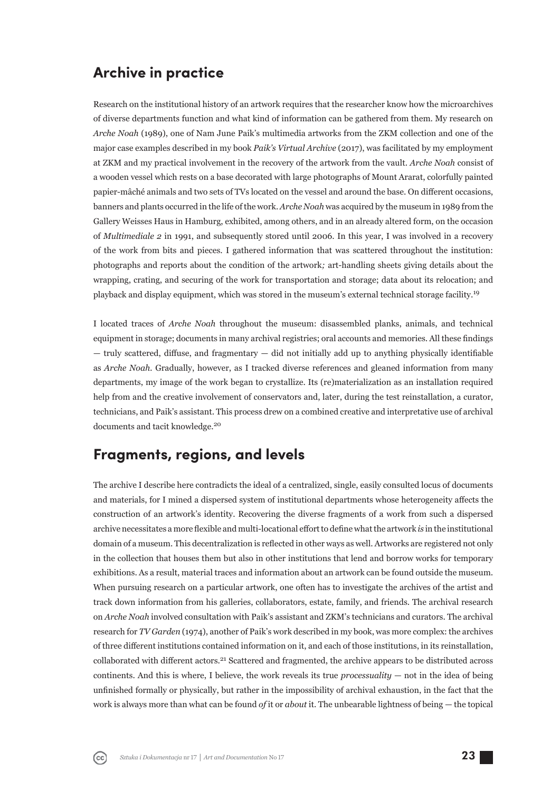# **Archive in practice**

Research on the institutional history of an artwork requires that the researcher know how the microarchives of diverse departments function and what kind of information can be gathered from them. My research on *Arche Noah* (1989), one of Nam June Paik's multimedia artworks from the ZKM collection and one of the major case examples described in my book *Paik's Virtual Archive* (2017), was facilitated by my employment at ZKM and my practical involvement in the recovery of the artwork from the vault. *Arche Noah* consist of a wooden vessel which rests on a base decorated with large photographs of Mount Ararat, colorfully painted papier-mâché animals and two sets of TVs located on the vessel and around the base. On different occasions, banners and plants occurred in the life of the work. *Arche Noah* was acquired by the museum in 1989 from the Gallery Weisses Haus in Hamburg, exhibited, among others, and in an already altered form, on the occasion of *Multimediale 2* in 1991, and subsequently stored until 2006. In this year, I was involved in a recovery of the work from bits and pieces. I gathered information that was scattered throughout the institution: photographs and reports about the condition of the artwork*;* art-handling sheets giving details about the wrapping, crating, and securing of the work for transportation and storage; data about its relocation; and playback and display equipment, which was stored in the museum's external technical storage facility.<sup>19</sup>

I located traces of *Arche Noah* throughout the museum: disassembled planks, animals, and technical equipment in storage; documents in many archival registries; oral accounts and memories. All these findings  $-$  truly scattered, diffuse, and fragmentary  $-$  did not initially add up to anything physically identifiable as *Arche Noah*. Gradually, however, as I tracked diverse references and gleaned information from many departments, my image of the work began to crystallize. Its (re)materialization as an installation required help from and the creative involvement of conservators and, later, during the test reinstallation, a curator, technicians, and Paik's assistant. This process drew on a combined creative and interpretative use of archival documents and tacit knowledge.<sup>20</sup>

#### **Fragments, regions, and levels**

The archive I describe here contradicts the ideal of a centralized, single, easily consulted locus of documents and materials, for I mined a dispersed system of institutional departments whose heterogeneity affects the construction of an artwork's identity. Recovering the diverse fragments of a work from such a dispersed archive necessitates a more flexible and multi-locational effort to define what the artwork *is* in the institutional domain of a museum. This decentralization is reflected in other ways as well. Artworks are registered not only in the collection that houses them but also in other institutions that lend and borrow works for temporary exhibitions. As a result, material traces and information about an artwork can be found outside the museum. When pursuing research on a particular artwork, one often has to investigate the archives of the artist and track down information from his galleries, collaborators, estate, family, and friends. The archival research on *Arche Noah* involved consultation with Paik's assistant and ZKM's technicians and curators. The archival research for *TV Garden* (1974), another of Paik's work described in my book, was more complex: the archives of three diff erent institutions contained information on it, and each of those institutions, in its reinstallation, collaborated with different actors.<sup>21</sup> Scattered and fragmented, the archive appears to be distributed across continents. And this is where, I believe, the work reveals its true *processuality* — not in the idea of being unfinished formally or physically, but rather in the impossibility of archival exhaustion, in the fact that the work is always more than what can be found *of* it or *about* it. The unbearable lightness of being — the topical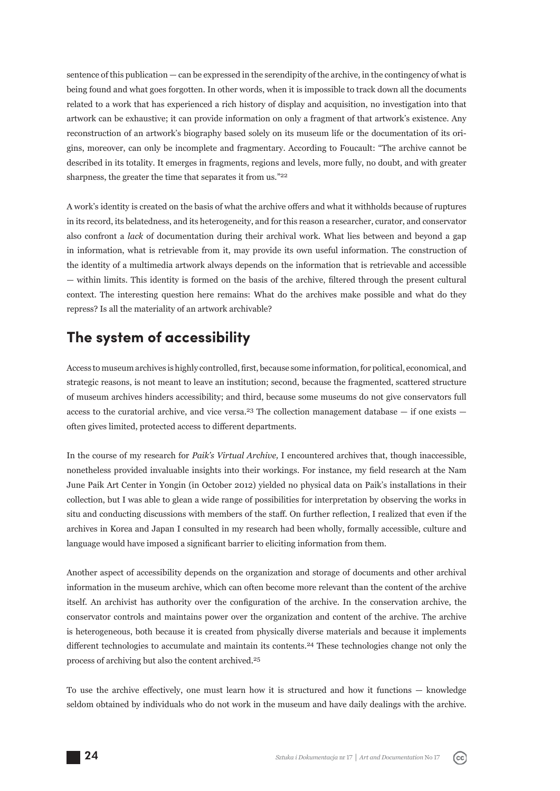sentence of this publication — can be expressed in the serendipity of the archive, in the contingency of what is being found and what goes forgotten. In other words, when it is impossible to track down all the documents related to a work that has experienced a rich history of display and acquisition, no investigation into that artwork can be exhaustive; it can provide information on only a fragment of that artwork's existence. Any reconstruction of an artwork's biography based solely on its museum life or the documentation of its origins, moreover, can only be incomplete and fragmentary. According to Foucault: "The archive cannot be described in its totality. It emerges in fragments, regions and levels, more fully, no doubt, and with greater sharpness, the greater the time that separates it from us."<sup>22</sup>

A work's identity is created on the basis of what the archive offers and what it withholds because of ruptures in its record, its belatedness, and its heterogeneity, and for this reason a researcher, curator, and conservator also confront a *lack* of documentation during their archival work. What lies between and beyond a gap in information, what is retrievable from it, may provide its own useful information. The construction of the identity of a multimedia artwork always depends on the information that is retrievable and accessible — within limits. This identity is formed on the basis of the archive, filtered through the present cultural context. The interesting question here remains: What do the archives make possible and what do they repress? Is all the materiality of an artwork archivable?

## **The system of accessibility**

Access to museum archives is highly controlled, first, because some information, for political, economical, and strategic reasons, is not meant to leave an institution; second, because the fragmented, scattered structure of museum archives hinders accessibility; and third, because some museums do not give conservators full access to the curatorial archive, and vice versa.<sup>23</sup> The collection management database  $-$  if one exists  $$ often gives limited, protected access to different departments.

In the course of my research for *Paik's Virtual Archive*, I encountered archives that, though inaccessible, nonetheless provided invaluable insights into their workings. For instance, my field research at the Nam June Paik Art Center in Yongin (in October 2012) yielded no physical data on Paik's installations in their collection, but I was able to glean a wide range of possibilities for interpretation by observing the works in situ and conducting discussions with members of the staff. On further reflection, I realized that even if the archives in Korea and Japan I consulted in my research had been wholly, formally accessible, culture and language would have imposed a significant barrier to eliciting information from them.

Another aspect of accessibility depends on the organization and storage of documents and other archival information in the museum archive, which can often become more relevant than the content of the archive itself. An archivist has authority over the configuration of the archive. In the conservation archive, the conservator controls and maintains power over the organization and content of the archive. The archive is heterogeneous, both because it is created from physically diverse materials and because it implements different technologies to accumulate and maintain its contents.<sup>24</sup> These technologies change not only the process of archiving but also the content archived.<sup>25</sup>

To use the archive effectively, one must learn how it is structured and how it functions  $-$  knowledge seldom obtained by individuals who do not work in the museum and have daily dealings with the archive.

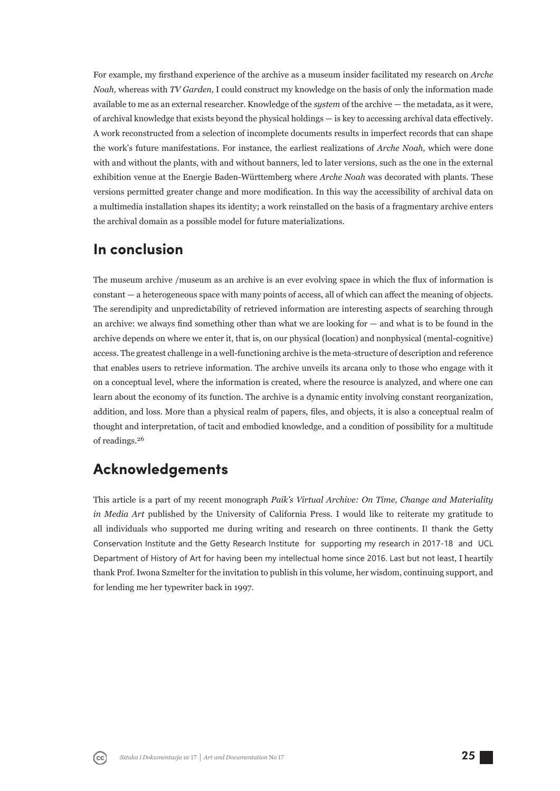For example, my firsthand experience of the archive as a museum insider facilitated my research on *Arche Noah,* whereas with *TV Garden,* I could construct my knowledge on the basis of only the information made available to me as an external researcher. Knowledge of the *system* of the archive — the metadata, as it were, of archival knowledge that exists beyond the physical holdings  $-$  is key to accessing archival data effectively. A work reconstructed from a selection of incomplete documents results in imperfect records that can shape the work's future manifestations. For instance, the earliest realizations of *Arche Noah,* which were done with and without the plants, with and without banners, led to later versions, such as the one in the external exhibition venue at the Energie Baden-Württemberg where *Arche Noah* was decorated with plants. These versions permitted greater change and more modification. In this way the accessibility of archival data on a multimedia installation shapes its identity; a work reinstalled on the basis of a fragmentary archive enters the archival domain as a possible model for future materializations.

#### **In conclusion**

The museum archive /museum as an archive is an ever evolving space in which the flux of information is constant — a heterogeneous space with many points of access, all of which can affect the meaning of objects. The serendipity and unpredictability of retrieved information are interesting aspects of searching through an archive: we always find something other than what we are looking for  $-$  and what is to be found in the archive depends on where we enter it, that is, on our physical (location) and nonphysical (mental-cognitive) access. The greatest challenge in a well-functioning archive is the meta-structure of description and reference that enables users to retrieve information. The archive unveils its arcana only to those who engage with it on a conceptual level, where the information is created, where the resource is analyzed, and where one can learn about the economy of its function. The archive is a dynamic entity involving constant reorganization, addition, and loss. More than a physical realm of papers, files, and objects, it is also a conceptual realm of thought and interpretation, of tacit and embodied knowledge, and a condition of possibility for a multitude of readings.<sup>26</sup>

# **Acknowledgements**

This article is a part of my recent monograph *Paik's Virtual Archive: On Time, Change and Materiality in Media Art* published by the University of California Press. I would like to reiterate my gratitude to all individuals who supported me during writing and research on three continents. II thank the Getty Conservation Institute and the Getty Research Institute for supporting my research in 2017-18 and UCL Department of History of Art for having been my intellectual home since 2016. Last but not least, I heartily thank Prof. Iwona Szmelter for the invitation to publish in this volume, her wisdom, continuing support, and for lending me her typewriter back in 1997.

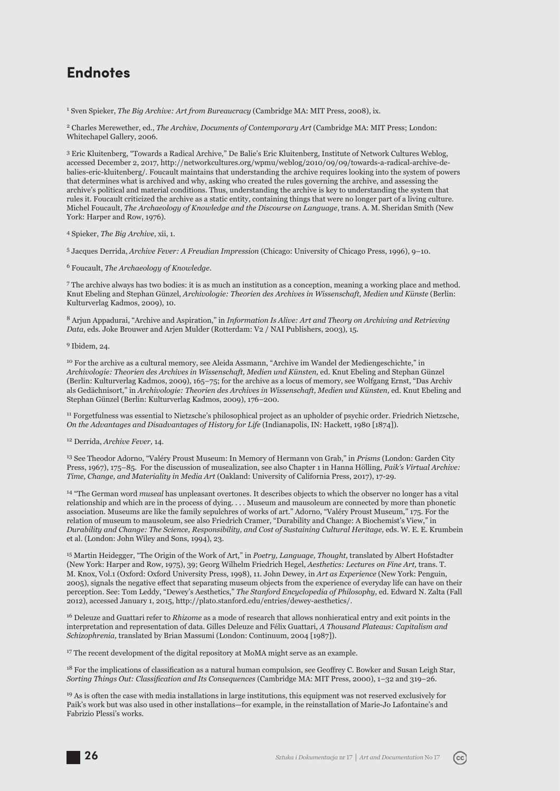# **Endnotes**

1 Sven Spieker, *The Big Archive: Art from Bureaucracy* (Cambridge MA: MIT Press, 2008), ix.

2 Charles Merewether, ed., *The Archive, Documents of Contemporary Art* (Cambridge MA: MIT Press; London: Whitechapel Gallery, 2006.

3 Eric Kluitenberg, "Towards a Radical Archive," De Balie's Eric Kluitenberg, Institute of Network Cultures Weblog, accessed December 2, 2017, http://networkcultures.org/wpmu/weblog/2010/09/09/towards-a-radical-archive-debalies-eric-kluitenberg/. Foucault maintains that understanding the archive requires looking into the system of powers that determines what is archived and why, asking who created the rules governing the archive, and assessing the archive's political and material conditions. Thus, understanding the archive is key to understanding the system that rules it. Foucault criticized the archive as a static entity, containing things that were no longer part of a living culture. Michel Foucault, *The Archaeology of Knowledge and the Discourse on Language*, trans. A. M. Sheridan Smith (New York: Harper and Row, 1976).

4 Spieker, *The Big Archive*, xii, 1.

5 Jacques Derrida, *Archive Fever: A Freudian Impression* (Chicago: University of Chicago Press, 1996), 9–10.

6 Foucault, *The Archaeology of Knowledge*.

7 The archive always has two bodies: it is as much an institution as a conception, meaning a working place and method. Knut Ebeling and Stephan Günzel, *Archivologie: Theorien des Archives in Wissenschaft, Medien und Künste* (Berlin: Kulturverlag Kadmos, 2009), 10.

8 Arjun Appadurai, "Archive and Aspiration," in *Information Is Alive: Art and Theory on Archiving and Retrieving Data*, eds. Joke Brouwer and Arjen Mulder (Rotterdam: V2 / NAI Publishers, 2003), 15.

9 Ibidem, 24.

10 For the archive as a cultural memory, see Aleida Assmann, "Archive im Wandel der Mediengeschichte," in *Archivologie: Theorien des Archives in Wissenschaft, Medien und Künsten,* ed. Knut Ebeling and Stephan Günzel (Berlin: Kulturverlag Kadmos, 2009), 165–75; for the archive as a locus of memory, see Wolfgang Ernst, "Das Archiv als Gedächnisort," in *Archivologie: Theorien des Archives in Wissenschaft, Medien und Künsten,* ed. Knut Ebeling and Stephan Günzel (Berlin: Kulturverlag Kadmos, 2009), 176–200.

11 Forgetfulness was essential to Nietzsche's philosophical project as an upholder of psychic order. Friedrich Nietzsche, *On the Advantages and Disadvantages of History for Life* (Indianapolis, IN: Hackett, 1980 [1874]).

12 Derrida, *Archive Fever,* 14.

13 See Theodor Adorno, "Valéry Proust Museum: In Memory of Hermann von Grab," in *Prisms* (London: Garden City Press, 1967), 175–85. For the discussion of musealization, see also Chapter 1 in Hanna Hölling, *Paik's Virtual Archive: Time, Change, and Materiality in Media Art* (Oakland: University of California Press, 2017), 17-29.

14 "The German word *museal* has unpleasant overtones. It describes objects to which the observer no longer has a vital relationship and which are in the process of dying. . . . Museum and mausoleum are connected by more than phonetic association. Museums are like the family sepulchres of works of art." Adorno, "Valéry Proust Museum," 175. For the relation of museum to mausoleum, see also Friedrich Cramer, "Durability and Change: A Biochemist's View," in *Durability and Change: The Science, Responsibility, and Cost of Sustaining Cultural Heritage,* eds. W. E. E. Krumbein et al. (London: John Wiley and Sons, 1994), 23.

15 Martin Heidegger, "The Origin of the Work of Art," in *Poetry, Language, Thought,* translated by Albert Hofstadter (New York: Harper and Row, 1975), 39; Georg Wilhelm Friedrich Hegel, *Aesthetics: Lectures on Fine Art,* trans. T. M. Knox, Vol.1 (Oxford: Oxford University Press, 1998), 11. John Dewey, in *Art as Experience* (New York: Penguin, 2005), signals the negative effect that separating museum objects from the experience of everyday life can have on their perception. See: Tom Leddy, "Dewey's Aesthetics," *The Stanford Encyclopedia of Philosophy,* ed. Edward N. Zalta (Fall 2012), accessed January 1, 2015, http://plato.stanford.edu/entries/dewey-aesthetics/.

16 Deleuze and Guattari refer to *Rhizome* as a mode of research that allows nonhieratical entry and exit points in the interpretation and representation of data. Gilles Deleuze and Félix Guattari, *A Thousand Plateaus: Capitalism and Schizophrenia,* translated by Brian Massumi (London: Continuum, 2004 [1987]).

<sup>17</sup> The recent development of the digital repository at MoMA might serve as an example.

 $18$  For the implications of classification as a natural human compulsion, see Geoffrey C. Bowker and Susan Leigh Star, *Sorting Things Out: Classifi cation and Its Consequences* (Cambridge MA: MIT Press, 2000), 1–32 and 319–26.

<sup>19</sup> As is often the case with media installations in large institutions, this equipment was not reserved exclusively for Paik's work but was also used in other installations—for example, in the reinstallation of Marie-Jo Lafontaine's and Fabrizio Plessi's works.

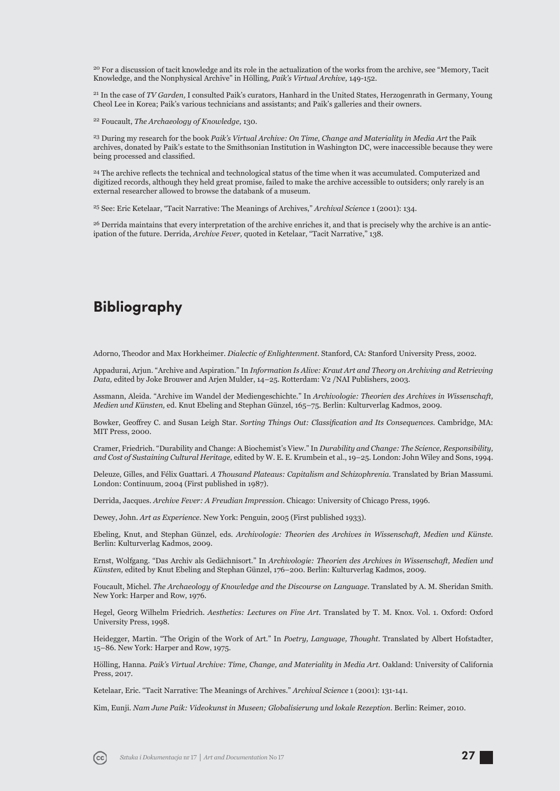<sup>20</sup> For a discussion of tacit knowledge and its role in the actualization of the works from the archive, see "Memory, Tacit Knowledge, and the Nonphysical Archive" in Hölling, *Paik's Virtual Archive,* 149-152.

21 In the case of *TV Garden,* I consulted Paik's curators, Hanhard in the United States, Herzogenrath in Germany, Young Cheol Lee in Korea; Paik's various technicians and assistants; and Paik's galleries and their owners.

22 Foucault, *The Archaeology of Knowledge,* 130.

23 During my research for the book *Paik's Virtual Archive: On Time, Change and Materiality in Media Art* the Paik archives, donated by Paik's estate to the Smithsonian Institution in Washington DC, were inaccessible because they were being processed and classified.

<sup>24</sup> The archive reflects the technical and technological status of the time when it was accumulated. Computerized and digitized records, although they held great promise, failed to make the archive accessible to outsiders; only rarely is an external researcher allowed to browse the databank of a museum.

25 See: Eric Ketelaar, "Tacit Narrative: The Meanings of Archives," *Archival Science* 1 (2001): 134.

<sup>26</sup> Derrida maintains that every interpretation of the archive enriches it, and that is precisely why the archive is an anticipation of the future. Derrida, *Archive Fever,* quoted in Ketelaar, "Tacit Narrative," 138.

# **Bibliography**

Adorno, Theodor and Max Horkheimer. *Dialectic of Enlightenment.* Stanford, CA: Stanford University Press, 2002.

Appadurai, Arjun. "Archive and Aspiration." In *Information Is Alive: Kraut Art and Theory on Archiving and Retrieving Data,* edited by Joke Brouwer and Arjen Mulder, 14–25. Rotterdam: V2 /NAI Publishers, 2003.

Assmann, Aleida. "Archive im Wandel der Mediengeschichte." In *Archivologie: Theorien des Archives in Wissenschaft, Medien und Künsten,* ed. Knut Ebeling and Stephan Günzel, 165–75. Berlin: Kulturverlag Kadmos, 2009.

Bowker, Geoffrey C. and Susan Leigh Star. *Sorting Things Out: Classification and Its Consequences*. Cambridge, MA: MIT Press, 2000.

Cramer, Friedrich. "Durability and Change: A Biochemist's View." In *Durability and Change: The Sci ence, Responsibility, and Cost of Sustaining Cultural Heritage,* edited by W. E. E. Krumbein et al., 19–25. London: John Wiley and Sons, 1994.

Deleuze, Gilles, and Félix Guattari. *A Thousand Plateaus: Capitalism and Schizophrenia*. Translated by Brian Massumi. London: Continuum, 2004 (First published in 1987).

Derrida, Jacques. *Archive Fever: A Freudian Impression.* Chicago: University of Chicago Press, 1996.

Dewey, John. *Art as Experience.* New York: Penguin, 2005 (First published 1933).

Ebeling, Knut, and Stephan Günzel, eds. *Archivologie: Theorien des Archives in Wissenschaft, Medien und Künste.*  Berlin: Kulturverlag Kadmos, 2009.

Ernst, Wolfgang. "Das Archiv als Gedächnisort." In *Archivologie: Theorien des Archives in Wissenschaft, Medien und Künsten,* edited by Knut Ebeling and Stephan Günzel, 176–200. Berlin: Kulturverlag Kadmos, 2009.

Foucault, Michel. *The Archaeology of Knowledge and the Discourse on Language.* Translated by A. M. Sheridan Smith. New York: Harper and Row, 1976.

Hegel, Georg Wilhelm Friedrich. *Aesthetics: Lectures on Fine Art.* Translated by T. M. Knox. Vol. 1. Oxford: Oxford University Press, 1998.

Heidegger, Martin. "The Origin of the Work of Art." In *Poetry, Language, Thought.* Translated by Albert Hofstadter, 15–86. New York: Harper and Row, 1975.

Hölling, Hanna. *Paik's Virtual Archive: Time, Change, and Materiality in Media Art*. Oakland: University of California Press, 2017.

Ketelaar, Eric. "Tacit Narrative: The Meanings of Archives." *Archival Science* 1 (2001): 131-141.

Kim, Eunji. *Nam June Paik: Videokunst in Museen; Globalisierung und lokale Rezeption.* Berlin: Reimer, 2010.